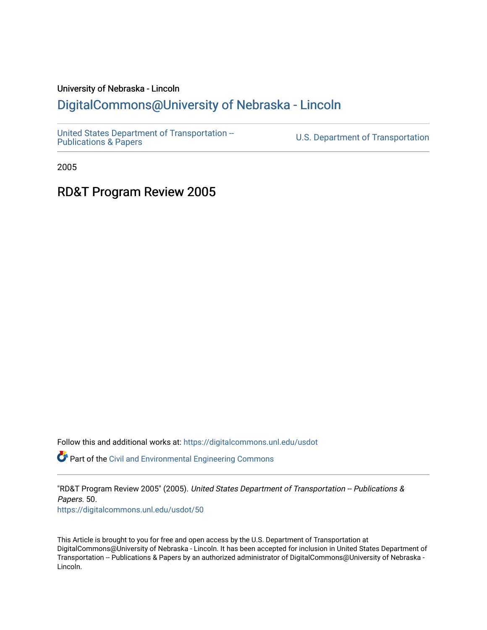#### University of Nebraska - Lincoln

#### [DigitalCommons@University of Nebraska - Lincoln](https://digitalcommons.unl.edu/)

[United States Department of Transportation --](https://digitalcommons.unl.edu/usdot)<br>Publications & Papers

U.S. Department of Transportation

2005

#### RD&T Program Review 2005

Follow this and additional works at: [https://digitalcommons.unl.edu/usdot](https://digitalcommons.unl.edu/usdot?utm_source=digitalcommons.unl.edu%2Fusdot%2F50&utm_medium=PDF&utm_campaign=PDFCoverPages) 

Part of the [Civil and Environmental Engineering Commons](http://network.bepress.com/hgg/discipline/251?utm_source=digitalcommons.unl.edu%2Fusdot%2F50&utm_medium=PDF&utm_campaign=PDFCoverPages)

"RD&T Program Review 2005" (2005). United States Department of Transportation -- Publications & Papers. 50. [https://digitalcommons.unl.edu/usdot/50](https://digitalcommons.unl.edu/usdot/50?utm_source=digitalcommons.unl.edu%2Fusdot%2F50&utm_medium=PDF&utm_campaign=PDFCoverPages)

This Article is brought to you for free and open access by the U.S. Department of Transportation at DigitalCommons@University of Nebraska - Lincoln. It has been accepted for inclusion in United States Department of Transportation -- Publications & Papers by an authorized administrator of DigitalCommons@University of Nebraska - Lincoln.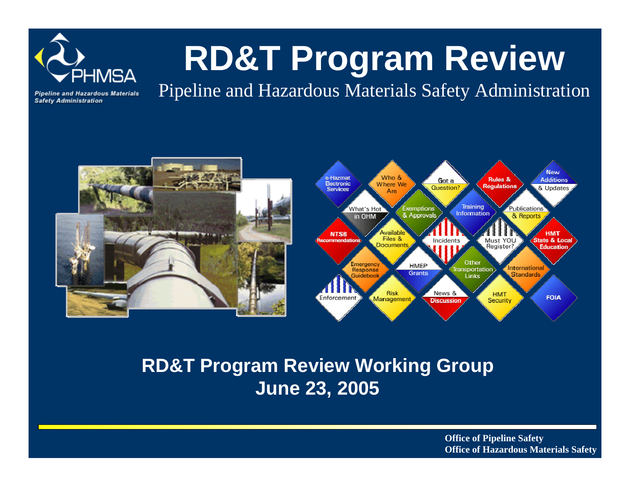

# **RD&T Program Review**

**Pipeline and Hazardous Materials Safety Administration** 

Pipeline and Hazardous Materials Safety Administration





### **RD&T Program Review Working Group June 23, 2005**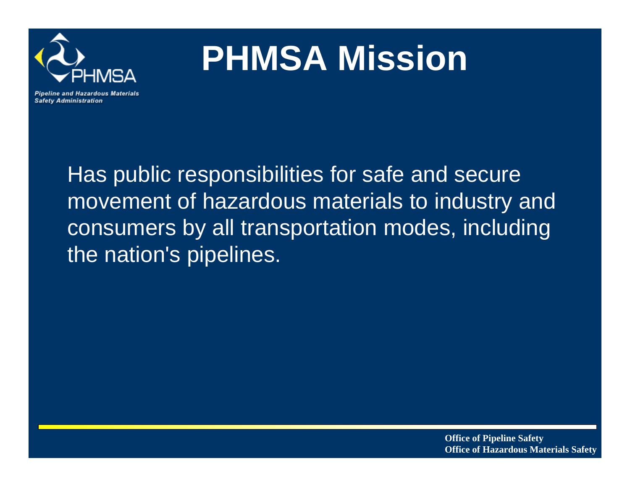

# **PHMSA Mission**

**Pipeline and Hazardous Materials Safety Administration** 

> Has public responsibilities for safe and secure movement of hazardous materials to industry and consumers by all transportation modes, including the nation's pipelines.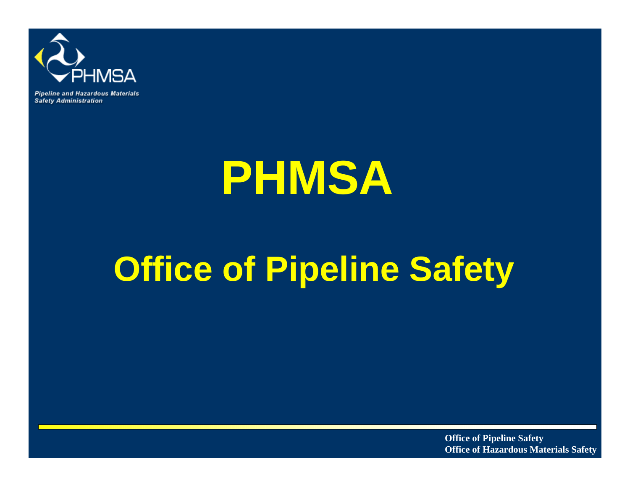

**Pipeline and Hazardous Materials Safety Administration** 

# **PHMSA**

# **Office of Pipeline Safety**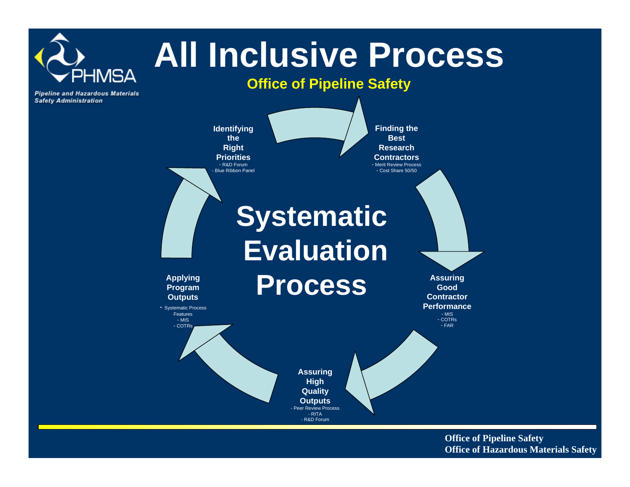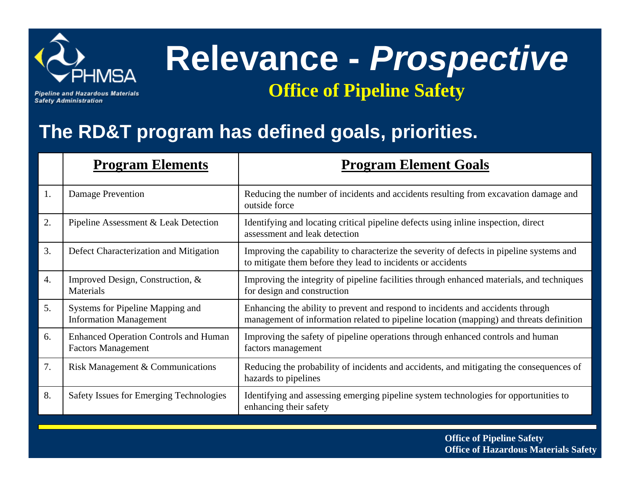

**Pipeline and Hazardous Materials Safety Administration** 

### **The RD&T program has defined goals, priorities.**

|    | <b>Program Elements</b>                                                   | <b>Program Element Goals</b>                                                                                                                                               |
|----|---------------------------------------------------------------------------|----------------------------------------------------------------------------------------------------------------------------------------------------------------------------|
| 1. | Damage Prevention                                                         | Reducing the number of incidents and accidents resulting from excavation damage and<br>outside force                                                                       |
| 2. | Pipeline Assessment & Leak Detection                                      | Identifying and locating critical pipeline defects using inline inspection, direct<br>assessment and leak detection                                                        |
| 3. | Defect Characterization and Mitigation                                    | Improving the capability to characterize the severity of defects in pipeline systems and<br>to mitigate them before they lead to incidents or accidents                    |
| 4. | Improved Design, Construction, &<br>Materials                             | Improving the integrity of pipeline facilities through enhanced materials, and techniques<br>for design and construction                                                   |
| 5. | Systems for Pipeline Mapping and<br><b>Information Management</b>         | Enhancing the ability to prevent and respond to incidents and accidents through<br>management of information related to pipeline location (mapping) and threats definition |
| 6. | <b>Enhanced Operation Controls and Human</b><br><b>Factors Management</b> | Improving the safety of pipeline operations through enhanced controls and human<br>factors management                                                                      |
| 7. | Risk Management & Communications                                          | Reducing the probability of incidents and accidents, and mitigating the consequences of<br>hazards to pipelines                                                            |
| 8. | Safety Issues for Emerging Technologies                                   | Identifying and assessing emerging pipeline system technologies for opportunities to<br>enhancing their safety                                                             |
|    |                                                                           |                                                                                                                                                                            |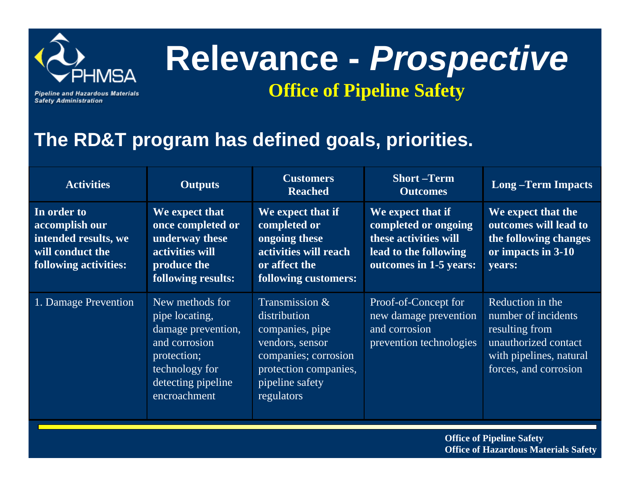

# **Relevance -** *Prospective*

**Pipeline and Hazardous Materials Safety Administration** 

### **Office of Pipeline Safety**

### **The RD&T program has defined goals, priorities.**

| <b>Activities</b>                                                                                  | <b>Outputs</b>                                                                                                                                  | <b>Customers</b><br><b>Reached</b>                                                                                                                     | <b>Short-Term</b><br><b>Outcomes</b>                                                                                  | <b>Long-Term Impacts</b>                                                                                                              |
|----------------------------------------------------------------------------------------------------|-------------------------------------------------------------------------------------------------------------------------------------------------|--------------------------------------------------------------------------------------------------------------------------------------------------------|-----------------------------------------------------------------------------------------------------------------------|---------------------------------------------------------------------------------------------------------------------------------------|
| In order to<br>accomplish our<br>intended results, we<br>will conduct the<br>following activities: | We expect that<br>once completed or<br>underway these<br>activities will<br>produce the<br>following results:                                   | We expect that if<br>completed or<br>ongoing these<br>activities will reach<br>or affect the<br>following customers:                                   | We expect that if<br>completed or ongoing<br>these activities will<br>lead to the following<br>outcomes in 1-5 years: | We expect that the<br>outcomes will lead to<br>the following changes<br>or impacts in 3-10<br>years:                                  |
| 1. Damage Prevention                                                                               | New methods for<br>pipe locating,<br>damage prevention,<br>and corrosion<br>protection;<br>technology for<br>detecting pipeline<br>encroachment | Transmission &<br>distribution<br>companies, pipe<br>vendors, sensor<br>companies; corrosion<br>protection companies,<br>pipeline safety<br>regulators | Proof-of-Concept for<br>new damage prevention<br>and corrosion<br>prevention technologies                             | Reduction in the<br>number of incidents<br>resulting from<br>unauthorized contact<br>with pipelines, natural<br>forces, and corrosion |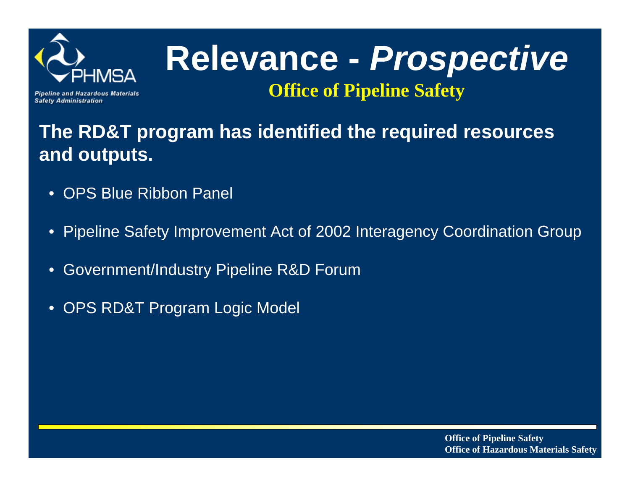

**Pipeline and Hazardous Materials Safety Administration** 

### **The RD&T program has identified the required resources and outputs.**

- $\bullet$ OPS Blue Ribbon Panel
- $\bullet$ Pipeline Safety Improvement Act of 2002 Interagency Coordination Group
- $\bullet$ Government/Industry Pipeline R&D Forum
- $\bullet$ OPS RD&T Program Logic Model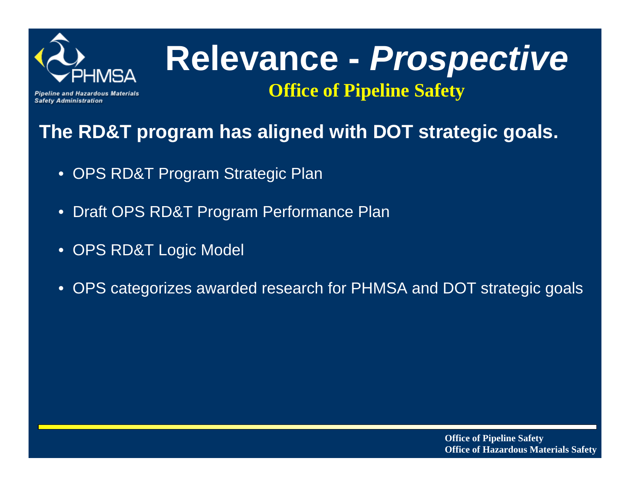

**Pipeline and Hazardous Materials Safety Administration** 

### **The RD&T program has aligned with DOT strategic goals.**

- OPS RD&T Program Strategic Plan
- Draft OPS RD&T Program Performance Plan
- OPS RD&T Logic Model
- OPS categorizes awarded research for PHMSA and DOT strategic goals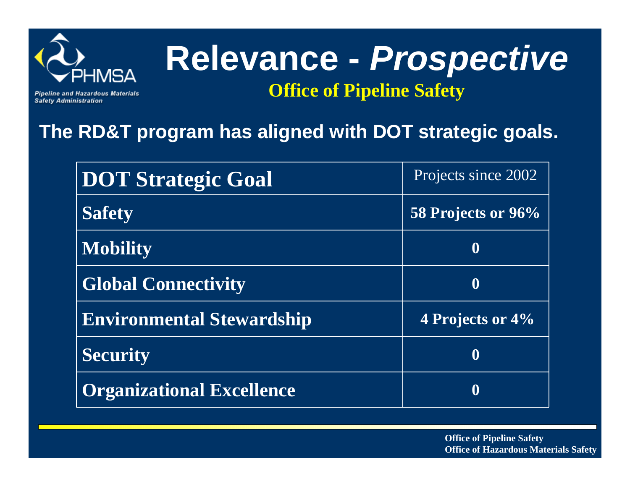

**Pipeline and Hazardous Materials Safety Administration** 

### **The RD&T program has aligned with DOT strategic goals.**

| <b>DOT Strategic Goal</b>        | Projects since 2002 |
|----------------------------------|---------------------|
| <b>Safety</b>                    | 58 Projects or 96%  |
| <b>Mobility</b>                  |                     |
| <b>Global Connectivity</b>       | $\mathbf 0$         |
| <b>Environmental Stewardship</b> | 4 Projects or 4%    |
| <b>Security</b>                  |                     |
| <b>Organizational Excellence</b> |                     |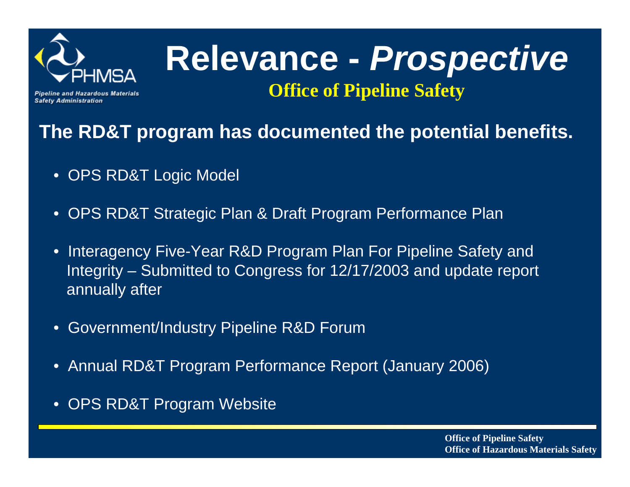

**Pipeline and Hazardous Materials Safety Administration** 

### **The RD&T program has documented the potential benefits.**

- $\bullet$ OPS RD&T Logic Model
- $\bullet$ OPS RD&T Strategic Plan & Draft Program Performance Plan
- $\bullet$  Interagency Five-Year R&D Program Plan For Pipeline Safety and Integrity – Submitted to Congress for 12/17/2003 and update report annually after
- $\bullet$ Government/Industry Pipeline R&D Forum
- $\bullet$ Annual RD&T Program Performance Report (January 2006)
- •OPS RD&T Program Website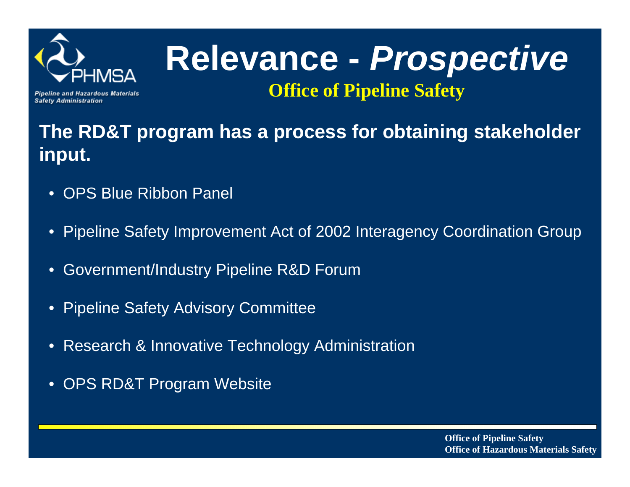

**Pipeline and Hazardous Materials Safety Administration** 

### **The RD&T program has a process for obtaining stakeholder input.**

- $\bullet$ OPS Blue Ribbon Panel
- $\bullet$ Pipeline Safety Improvement Act of 2002 Interagency Coordination Group
- $\bullet$ Government/Industry Pipeline R&D Forum
- •Pipeline Safety Advisory Committee
- $\bullet$ Research & Innovative Technology Administration
- $\bullet$ OPS RD&T Program Website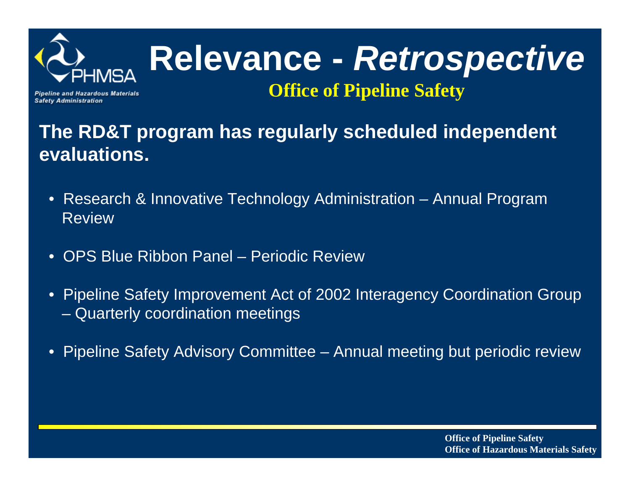

**Pipeline and Hazardous Materials Safety Administration** 

### **The RD&T program has regularly scheduled independent evaluations.**

- Research & Innovative Technology Administration Annual Program Review
- $\bullet$ OPS Blue Ribbon Panel – Periodic Review
- • Pipeline Safety Improvement Act of 2002 Interagency Coordination Group –Quarterly coordination meetings
- $\bullet$ Pipeline Safety Advisory Committee – Annual meeting but periodic review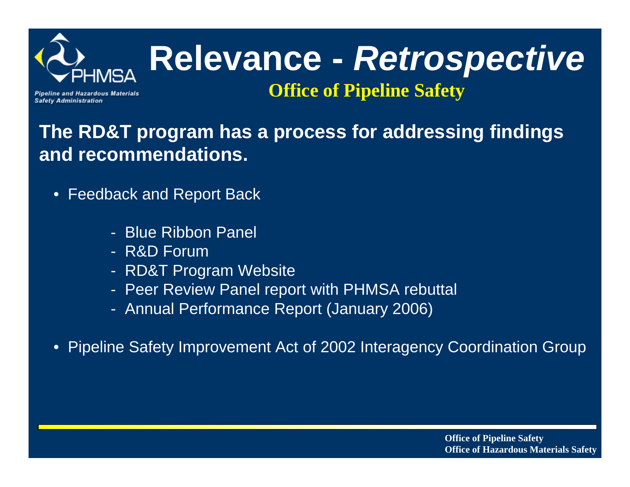

# **Relevance -** *Retrospective*

**Office of Pipeline Safety**

#### **Pipeline and Hazardous Materials Safety Administration**

### **The RD&T program has a process for addressing findings and recommendations.**

- • Feedback and Report Back
	- Blue Ribbon Panel
	- R&D Forum
	- RD&T Program Website
	- Peer Review Panel report with PHMSA rebuttal
	- Annual Performance Report (January 2006)
- $\bullet$ Pipeline Safety Improvement Act of 2002 Interagency Coordination Group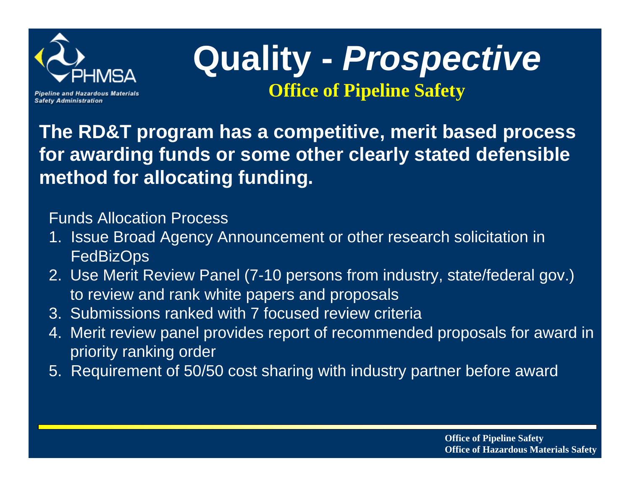

**Pipeline and Hazardous Materials Safety Administration** 

## **Quality -** *Prospective* **Office of Pipeline Safety**

**The RD&T program has a competitive, merit based process for awarding funds or some other clearly stated defensible method for allocating funding.**

#### Funds Allocation Process

- 1. Issue Broad Agency Announcement or other research solicitation in FedBizOps
- 2. Use Merit Review Panel (7-10 persons from industry, state/federal gov.) to review and rank white papers and proposals
- 3. Submissions ranked with 7 focused review criteria
- 4. Merit review panel provides report of recommended proposals for award in priority ranking order
- 5. Requirement of 50/50 cost sharing with industry partner before award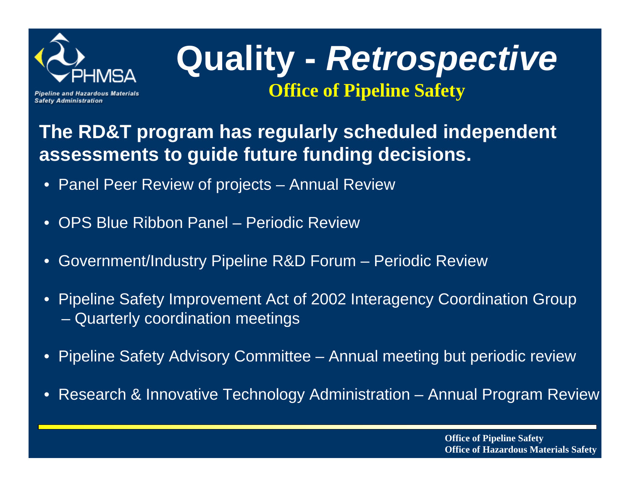

## **Quality -** *Retrospective* **Office of Pipeline Safety**

**Pipeline and Hazardous Materials Safety Administration** 

### **The RD&T program has regularly scheduled independent assessments to guide future funding decisions.**

- Panel Peer Review of projects Annual Review
- $\bullet$ OPS Blue Ribbon Panel – Periodic Review
- $\bullet$ Government/Industry Pipeline R&D Forum – Periodic Review
- $\bullet$  Pipeline Safety Improvement Act of 2002 Interagency Coordination Group Quarterly coordination meetings
- $\bullet$ Pipeline Safety Advisory Committee – Annual meeting but periodic review
- $\bullet$ Research & Innovative Technology Administration – Annual Program Review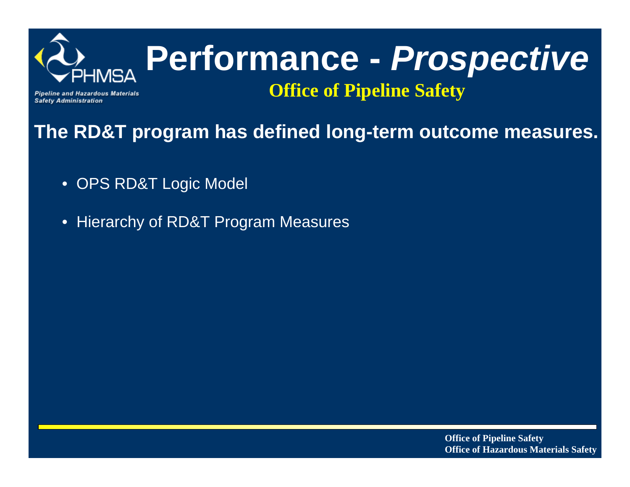

## **Performance -** *Prospective* **Office of Pipeline Safety**

**Pipeline and Hazardous Materials Safety Administration** 

**The RD&T program has defined long-term outcome measures.**

- OPS RD&T Logic Model
- Hierarchy of RD&T Program Measures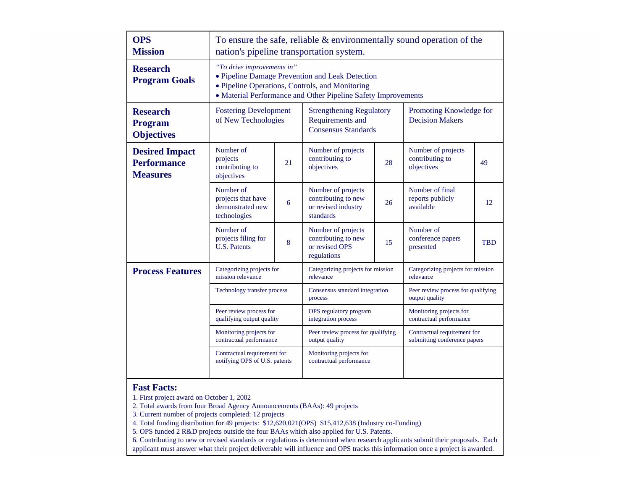| <b>OPS</b><br><b>Mission</b>                                   | To ensure the safe, reliable $\&$ environmentally sound operation of the<br>nation's pipeline transportation system.                                                                              |                                               |                                                                                   |                                                    |                                                             |            |
|----------------------------------------------------------------|---------------------------------------------------------------------------------------------------------------------------------------------------------------------------------------------------|-----------------------------------------------|-----------------------------------------------------------------------------------|----------------------------------------------------|-------------------------------------------------------------|------------|
| <b>Research</b><br><b>Program Goals</b>                        | "To drive improvements in"<br>• Pipeline Damage Prevention and Leak Detection<br>• Pipeline Operations, Controls, and Monitoring<br>• Material Performance and Other Pipeline Safety Improvements |                                               |                                                                                   |                                                    |                                                             |            |
| <b>Research</b><br><b>Program</b><br><b>Objectives</b>         | <b>Fostering Development</b><br>of New Technologies                                                                                                                                               |                                               | <b>Strengthening Regulatory</b><br>Requirements and<br><b>Consensus Standards</b> |                                                    | Promoting Knowledge for<br><b>Decision Makers</b>           |            |
| <b>Desired Impact</b><br><b>Performance</b><br><b>Measures</b> | Number of<br>projects<br>contributing to<br>objectives                                                                                                                                            | 21                                            | Number of projects<br>contributing to<br>objectives                               | 28                                                 | Number of projects<br>contributing to<br>objectives         | 49         |
|                                                                | Number of<br>projects that have<br>demonstrated new<br>technologies                                                                                                                               | 6                                             | Number of projects<br>contributing to new<br>or revised industry<br>standards     | 26                                                 | Number of final<br>reports publicly<br>available            | 12         |
|                                                                | Number of<br>projects filing for<br><b>U.S. Patents</b>                                                                                                                                           | 8                                             | Number of projects<br>contributing to new<br>or revised OPS<br>regulations        | 15                                                 | Number of<br>conference papers<br>presented                 | <b>TBD</b> |
| <b>Process Features</b>                                        | Categorizing projects for<br>mission relevance                                                                                                                                                    |                                               | Categorizing projects for mission<br>relevance                                    |                                                    | Categorizing projects for mission<br>relevance              |            |
|                                                                | Technology transfer process                                                                                                                                                                       |                                               | Consensus standard integration<br>process                                         |                                                    | Peer review process for qualifying<br>output quality        |            |
| Peer review process for<br>qualifying output quality           |                                                                                                                                                                                                   | OPS regulatory program<br>integration process |                                                                                   | Monitoring projects for<br>contractual performance |                                                             |            |
|                                                                | Monitoring projects for<br>contractual performance                                                                                                                                                |                                               | Peer review process for qualifying<br>output quality                              |                                                    | Contractual requirement for<br>submitting conference papers |            |
|                                                                | Contractual requirement for<br>notifying OPS of U.S. patents                                                                                                                                      |                                               | Monitoring projects for<br>contractual performance                                |                                                    |                                                             |            |

#### **Fast Facts:**

1. First project award on October 1, 2002

2. Total awards from four Broad Agency Announcements (BAAs): 49 projects

3. Current number of projects completed: 12 projects

4. Total funding distribution for 49 projects: \$12,620,021(OPS) \$15,412,638 (Industry co-Funding)

5. OPS funded 2 R&D projects outside the four BAAs which also applied for U.S. Patents.

6. Contributing to new or revised standards or regulations is determined when research applicants submit their proposals. Each applicant must answer what their project deliverable will influence and OPS tracks this information once a project is awarded.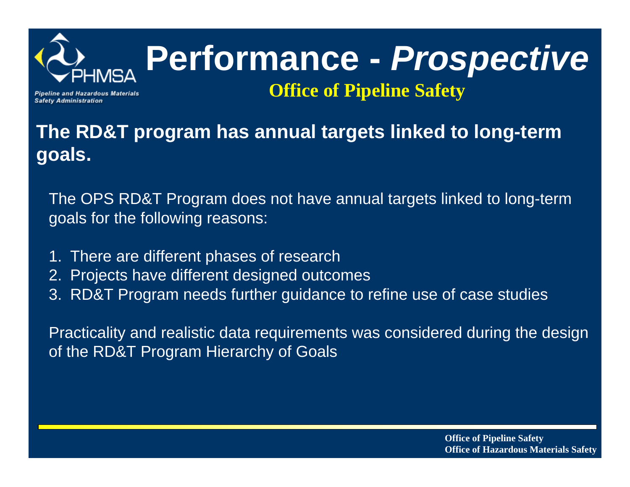

## **Performance -** *Prospective* **Office of Pipeline Safety**

**Pipeline and Hazardous Materials Safety Administration** 

**The RD&T program has annual targets linked to long-term goals.**

The OPS RD&T Program does not have annual targets linked to long-term goals for the following reasons:

- 1. There are different phases of research
- 2. Projects have different designed outcomes
- 3. RD&T Program needs further guidance to refine use of case studies

Practicality and realistic data requirements was considered during the design of the RD&T Program Hierarchy of Goals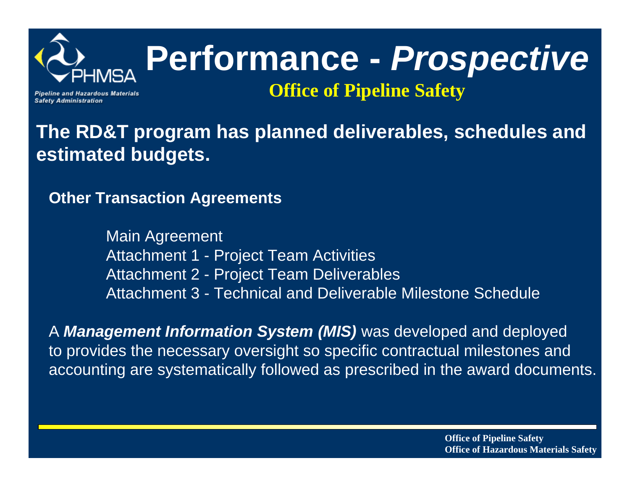

# **Performance -** *Prospective*

**Pipeline and Hazardous Materials Safety Administration** 

**Office of Pipeline Safety**

**The RD&T program has planned deliverables, schedules and estimated budgets.**

**Other Transaction Agreements**

Main Agreement Attachment 1 - Project Team Activities Attachment 2 - Project Team Deliverables Attachment 3 - Technical and Deliverable Milestone Schedule

A *Management Information System (MIS)* was developed and deployed to provides the necessary oversight so specific contractual milestones and accounting are systematically followed as prescribed in the award documents.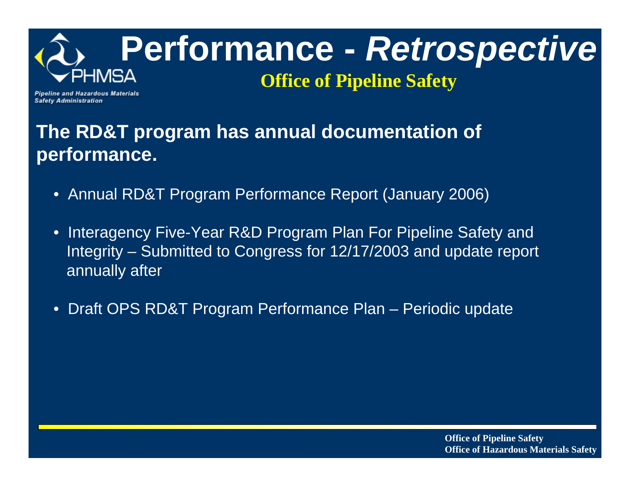

## **Performance -** *Retrospective*

### **Office of Pipeline Safety**

**Pipeline and Hazardous Materials Safety Administration** 

### **The RD&T program has annual documentation of performance.**

- Annual RD&T Program Performance Report (January 2006)
- $\bullet$  Interagency Five-Year R&D Program Plan For Pipeline Safety and Integrity – Submitted to Congress for 12/17/2003 and update report annually after
- •Draft OPS RD&T Program Performance Plan – Periodic update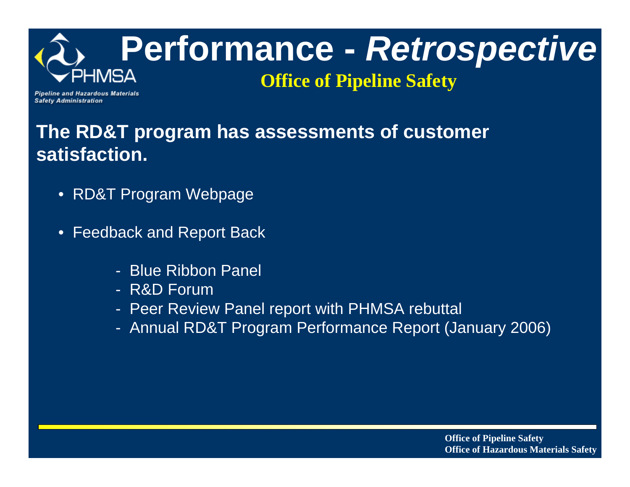

**Pipeline and Hazardous Materials Safety Administration** 

### **The RD&T program has assessments of customer satisfaction.**

- RD&T Program Webpage
- Feedback and Report Back
	- Blue Ribbon Panel
	- R&D Forum
	- Peer Review Panel report with PHMSA rebuttal
	- Annual RD&T Program Performance Report (January 2006)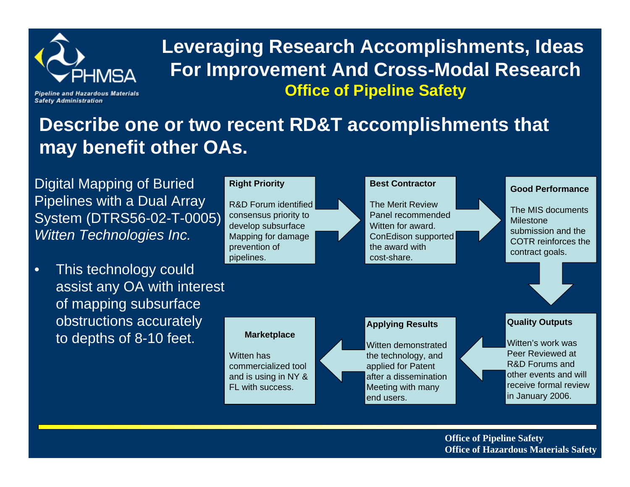

### **Leveraging Research Accomplishments, Ideas For Improvement And Cross-Modal Research Office of Pipeline Safety**

**Pipeline and Hazardous Materials Safety Administration** 

### **Describe one or two recent RD&T accomplishments that may benefit other OAs.**

Digital Mapping of Buried Pipelines with a Dual Array System (DTRS56-02-T-0005) *Witten Technologies Inc.*

• This technology could assist any OA with interest of mapping subsurface obstructions accurately to depths of 8-10 feet.

#### **Right Priority**

R&D Forum identifiedconsensus priority to develop subsurface Mapping for damage prevention of pipelines.

#### **Best Contractor**

The Merit Review Panel recommendedWitten for award. ConEdison supported the award with cost-share.

#### **Good Performance**

The MIS documents Milestone submission and the COTR reinforces the contract goals.

#### **Applying Results**

Witten demonstrated the technology, and applied for Patent after a dissemination Meeting with many end users.

#### **Quality Outputs**

Witten's work was Peer Reviewed at R&D Forums and other events and will receive formal review in January 2006.

**Office of Pipeline Safety Office of Hazardous Materials Safety**

#### **Marketplace**

Witten has commercialized tooland is using in NY & FL with success.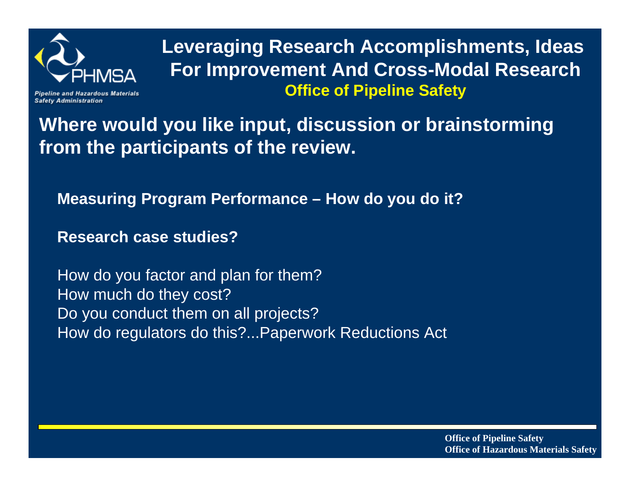

**Safety Administration** 

**Leveraging Research Accomplishments, Ideas For Improvement And Cross-Modal Research Office of Pipeline Safety**

**Where would you like input, discussion or brainstorming from the participants of the review.**

**Measuring Program Performance – How do you do it?**

**Research case studies?**

How do you factor and plan for them? How much do they cost? Do you conduct them on all projects? How do regulators do this?...Paperwork Reductions Act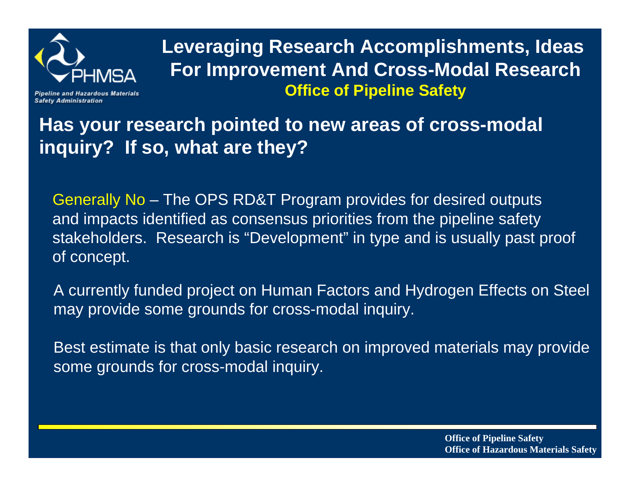

**Leveraging Research Accomplishments, Ideas For Improvement And Cross-Modal Research Office of Pipeline Safety**

**Safety Administration** 

**Has your research pointed to new areas of cross-modal inquiry? If so, what are they?**

Generally No – The OPS RD&T Program provides for desired outputs and impacts identified as consensus priorities from the pipeline safety stakeholders. Research is "Development" in type and is usually past proof of concept.

A currently funded project on Human Factors and Hydrogen Effects on Steel may provide some grounds for cross-modal inquiry.

Best estimate is that only basic research on improved materials may provide some grounds for cross-modal inquiry.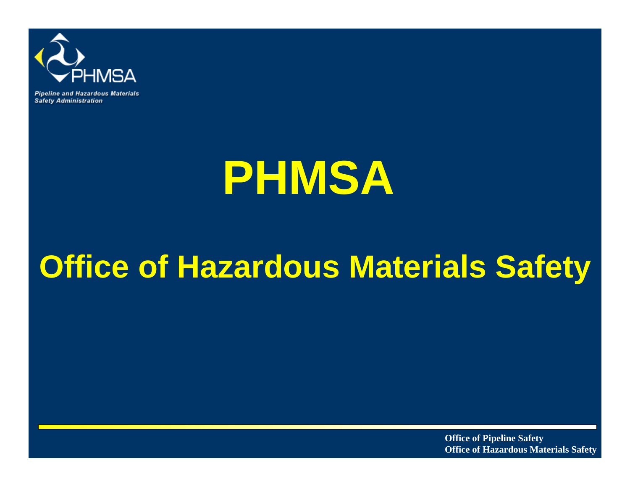

**Pipeline and Hazardous Materials Safety Administration** 

# **PHMSA**

## **Office of Hazardous Materials Safety**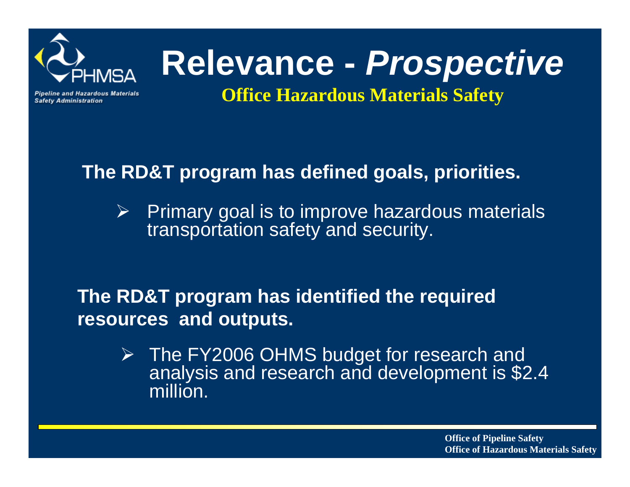

# **Relevance -** *Prospective*

**Pipeline and Hazardous Materials Safety Administration** 

### **Office Hazardous Materials Safety**

### **The RD&T program has defined goals, priorities.**

 $\blacktriangleright$  Primary goal is to improve hazardous materials transportation safety and security.

### **The RD&T program has identified the required resources and outputs.**

¾ The FY2006 OHMS budget for research and analysis and research and development is \$2.4 million.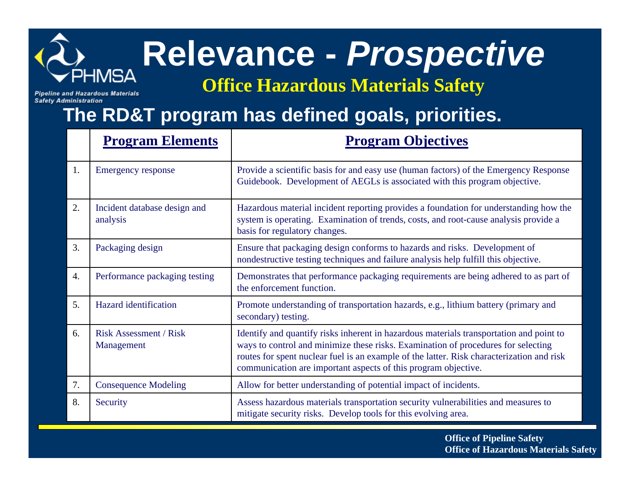

**Safety Administration** 

# **Relevance -** *Prospective*

**Office Hazardous Materials Safety**

### **The RD&T program has defined goals, priorities.**

|    | <b>Program Elements</b>                     | <b>Program Objectives</b>                                                                                                                                                                                                                                                                                                                   |
|----|---------------------------------------------|---------------------------------------------------------------------------------------------------------------------------------------------------------------------------------------------------------------------------------------------------------------------------------------------------------------------------------------------|
| 1. | <b>Emergency response</b>                   | Provide a scientific basis for and easy use (human factors) of the Emergency Response<br>Guidebook. Development of AEGLs is associated with this program objective.                                                                                                                                                                         |
| 2. | Incident database design and<br>analysis    | Hazardous material incident reporting provides a foundation for understanding how the<br>system is operating. Examination of trends, costs, and root-cause analysis provide a<br>basis for regulatory changes.                                                                                                                              |
| 3. | Packaging design                            | Ensure that packaging design conforms to hazards and risks. Development of<br>nondestructive testing techniques and failure analysis help fulfill this objective.                                                                                                                                                                           |
| 4. | Performance packaging testing               | Demonstrates that performance packaging requirements are being adhered to as part of<br>the enforcement function.                                                                                                                                                                                                                           |
| 5. | Hazard identification                       | Promote understanding of transportation hazards, e.g., lithium battery (primary and<br>secondary) testing.                                                                                                                                                                                                                                  |
| 6. | <b>Risk Assessment / Risk</b><br>Management | Identify and quantify risks inherent in hazardous materials transportation and point to<br>ways to control and minimize these risks. Examination of procedures for selecting<br>routes for spent nuclear fuel is an example of the latter. Risk characterization and risk<br>communication are important aspects of this program objective. |
| 7. | <b>Consequence Modeling</b>                 | Allow for better understanding of potential impact of incidents.                                                                                                                                                                                                                                                                            |
| 8. | Security                                    | Assess hazardous materials transportation security vulnerabilities and measures to<br>mitigate security risks. Develop tools for this evolving area.                                                                                                                                                                                        |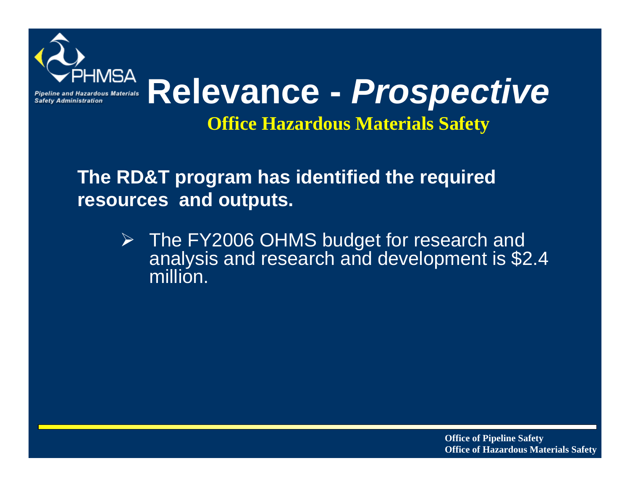

**Office Hazardous Materials Safety**

### **The RD&T program has identified the required resources and outputs.**

¾ The FY2006 OHMS budget for research and analysis and research and development is \$2.4 million.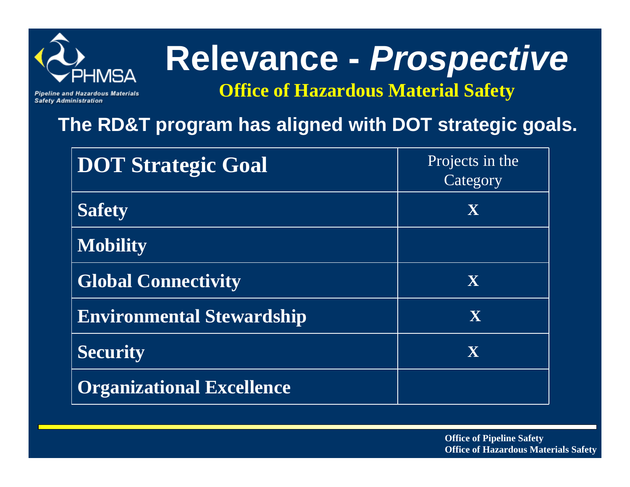

**Safety Administration** 

# **Relevance -** *Prospective*

**Office of Hazardous Material Safety**

### **The RD&T program has aligned with DOT strategic goals.**

| <b>DOT Strategic Goal</b>        | Projects in the<br>Category |
|----------------------------------|-----------------------------|
| <b>Safety</b>                    | X                           |
| <b>Mobility</b>                  |                             |
| <b>Global Connectivity</b>       | X                           |
| <b>Environmental Stewardship</b> | X                           |
| <b>Security</b>                  | X                           |
| <b>Organizational Excellence</b> |                             |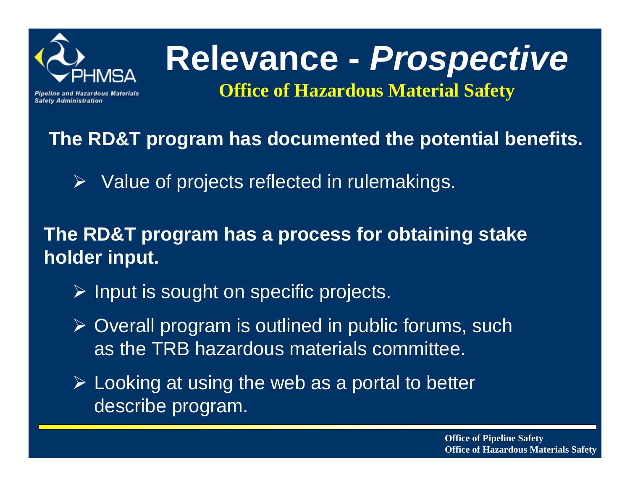

**Safety Administration** 

# **Relevance -** *Prospective*

**Office of Hazardous Material Safety**

### **The RD&T program has documented the potential benefits.**

 $\triangleright$  Value of projects reflected in rulemakings.

### **The RD&T program has a process for obtaining stake holder input.**

- ¾ Input is sought on specific projects.
- ¾ Overall program is outlined in public forums, such as the TRB hazardous materials committee.
- $\triangleright$  Looking at using the web as a portal to better describe program.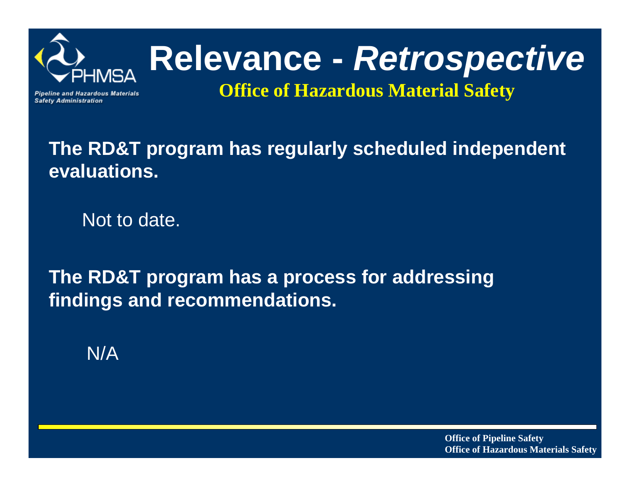

# **Relevance -** *Retrospective*

**Pipeline and Hazardous Materials Safety Administration** 

**Office of Hazardous Material Safety**

### **The RD&T program has regularly scheduled independent evaluations.**

Not to date.

**The RD&T program has a process for addressing findings and recommendations.**

N/A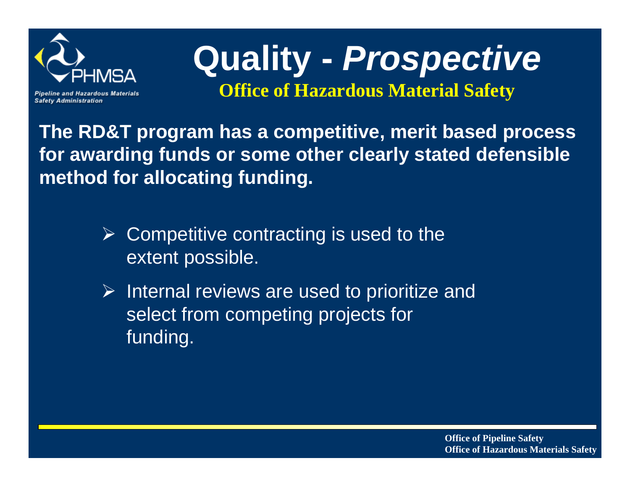

**Safety Administration** 

**Quality -** *Prospective*

**Office of Hazardous Material Safety**

**The RD&T program has a competitive, merit based process for awarding funds or some other clearly stated defensible method for allocating funding.**

- $\triangleright$  Competitive contracting is used to the extent possible.
- $\triangleright$  Internal reviews are used to prioritize and select from competing projects for funding.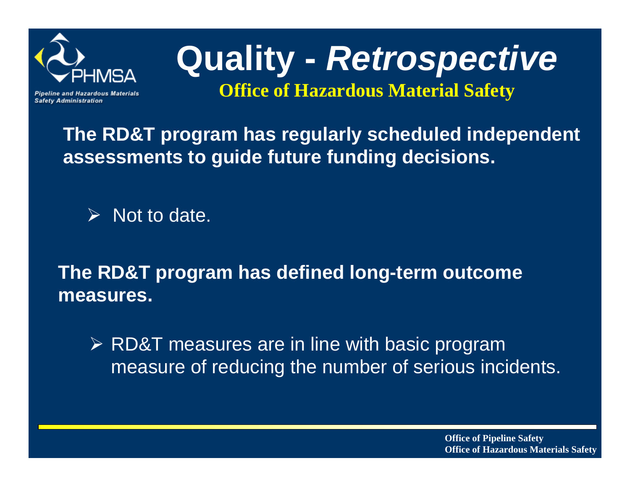

**Safety Administration** 

# **Quality -** *Retrospective*

**Office of Hazardous Material Safety**

### **The RD&T program has regularly scheduled independent assessments to guide future funding decisions.**

 $\triangleright$  Not to date.

**The RD&T program has defined long-term outcome measures.**

¾ RD&T measures are in line with basic program measure of reducing the number of serious incidents.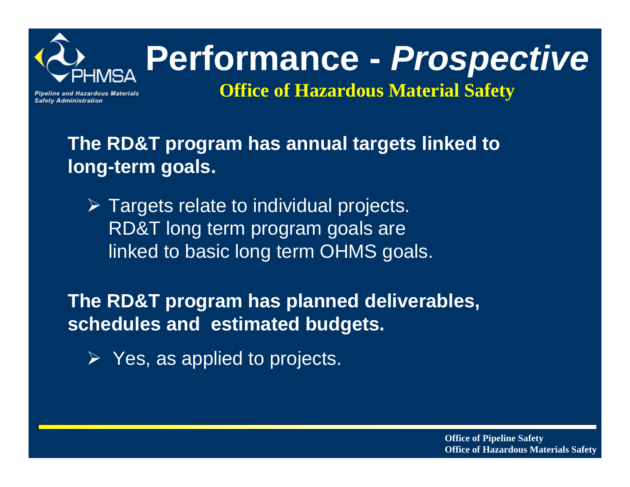

# **Performance -** *Prospective*

**Pipeline and Hazardous Materials Safety Administration** 

**Office of Hazardous Material Safety**

**The RD&T program has annual targets linked to long-term goals.**

 $\triangleright$  Targets relate to individual projects. RD&T long term program goals are linked to basic long term OHMS goals.

**The RD&T program has planned deliverables, schedules and estimated budgets.**

¾ Yes, as applied to projects.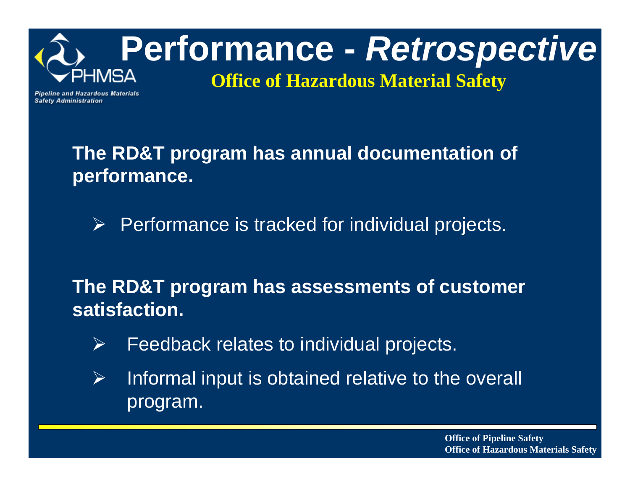

**Pipeline and Hazardous Materials Safety Administration** 

> **The RD&T program has annual documentation of performance.**

 $\triangleright$  Performance is tracked for individual projects.

**The RD&T program has assessments of customer satisfaction.**

- $\blacktriangleright$ Feedback relates to individual projects.
- $\blacktriangleright$  Informal input is obtained relative to the overall program.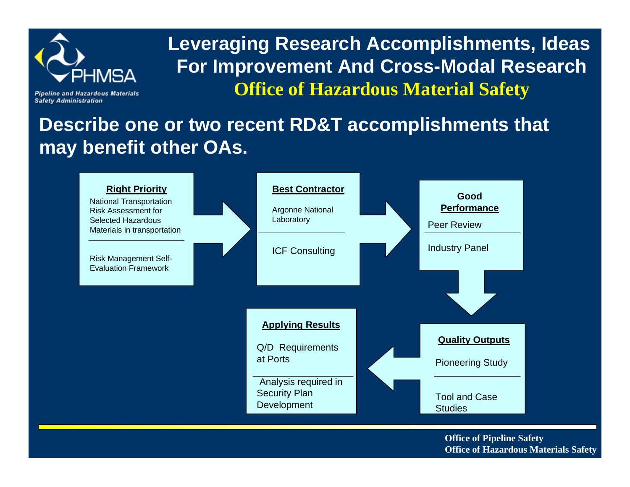

**Safety Administration** 

**Leveraging Research Accomplishments, Ideas For Improvement And Cross-Modal Research Office of Hazardous Material Safety**

**Describe one or two recent RD&T accomplishments that may benefit other OAs.**

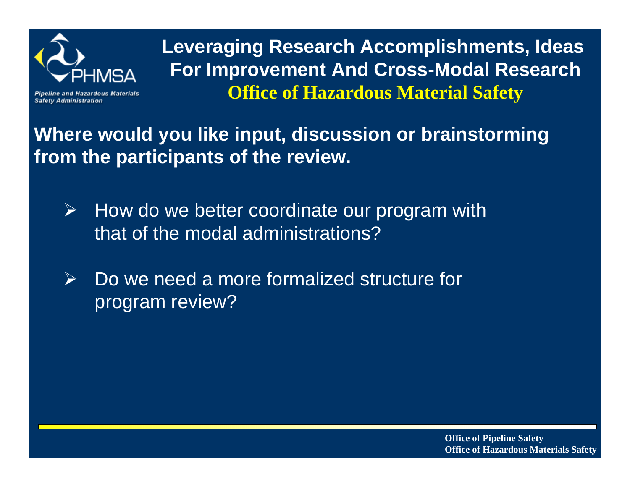

**Safety Administration** 

**Leveraging Research Accomplishments, Ideas For Improvement And Cross-Modal Research Office of Hazardous Material Safety**

**Where would you like input, discussion or brainstorming from the participants of the review.**

- $\blacktriangleright$  How do we better coordinate our program with that of the modal administrations?
- $\blacktriangleright$  Do we need a more formalized structure for program review?